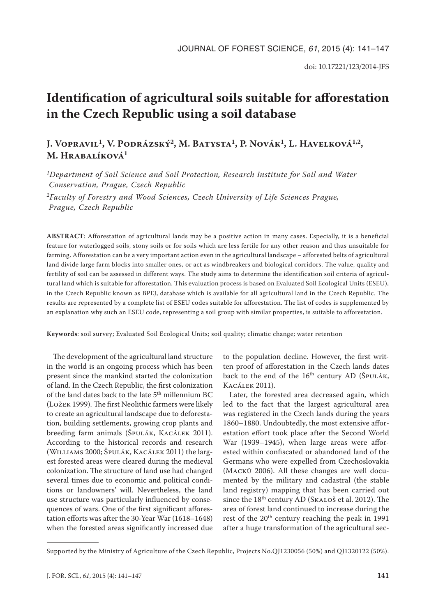# **Identification of agricultural soils suitable for afforestation in the Czech Republic using a soil database**

# **J. Vopravil1, V. Podrázský2, M. Batysta1, P. Novák1, L. Havelková1,2, M. Hrabalíková<sup>1</sup>**

*1Department of Soil Science and Soil Protection, Research Institute for Soil and Water Conservation, Prague, Czech Republic 2Faculty of Forestry and Wood Sciences, Czech University of Life Sciences Prague, Prague, Czech Republic*

**ABSTRACT**: Afforestation of agricultural lands may be a positive action in many cases. Especially, it is a beneficial feature for waterlogged soils, stony soils or for soils which are less fertile for any other reason and thus unsuitable for farming. Afforestation can be a very important action even in the agricultural landscape – afforested belts of agricultural land divide large farm blocks into smaller ones, or act as windbreakers and biological corridors. The value, quality and fertility of soil can be assessed in different ways. The study aims to determine the identification soil criteria of agricultural land which is suitable for afforestation. This evaluation process is based on Evaluated Soil Ecological Units (ESEU), in the Czech Republic known as BPEJ, database which is available for all agricultural land in the Czech Republic. The results are represented by a complete list of ESEU codes suitable for afforestation. The list of codes is supplemented by an explanation why such an ESEU code, representing a soil group with similar properties, is suitable to afforestation.

**Keywords**: soil survey; Evaluated Soil Ecological Units; soil quality; climatic change; water retention

The development of the agricultural land structure in the world is an ongoing process which has been present since the mankind started the colonization of land. In the Czech Republic, the first colonization of the land dates back to the late  $5<sup>th</sup>$  millennium BC (Ložek 1999). The first Neolithic farmers were likely to create an agricultural landscape due to deforestation, building settlements, growing crop plants and breeding farm animals (Špulák, Kacálek 2011). According to the historical records and research (Williams 2000; Špulák, Kacálek 2011) the largest forested areas were cleared during the medieval colonization. The structure of land use had changed several times due to economic and political conditions or landowners' will. Nevertheless, the land use structure was particularly influenced by consequences of wars. One of the first significant afforestation efforts was after the 30-Year War (1618–1648) when the forested areas significantly increased due

to the population decline. However, the first written proof of afforestation in the Czech lands dates back to the end of the  $16<sup>th</sup>$  century AD (Špulák, Kacálek 2011).

Later, the forested area decreased again, which led to the fact that the largest agricultural area was registered in the Czech lands during the years 1860–1880. Undoubtedly, the most extensive afforestation effort took place after the Second World War (1939–1945), when large areas were afforested within confiscated or abandoned land of the Germans who were expelled from Czechoslovakia (Macků 2006). All these changes are well documented by the military and cadastral (the stable land registry) mapping that has been carried out since the 18<sup>th</sup> century AD (SKALOŠ et al. 2012). The area of forest land continued to increase during the rest of the  $20<sup>th</sup>$  century reaching the peak in 1991 after a huge transformation of the agricultural sec-

Supported by the Ministry of Agriculture of the Czech Republic, Projects No.QJ1230056 (50%) and QJ1320122 (50%).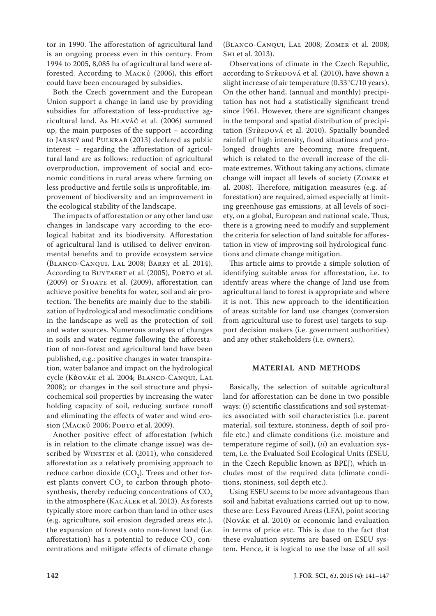tor in 1990. The afforestation of agricultural land is an ongoing process even in this century. From 1994 to 2005, 8,085 ha of agricultural land were afforested. According to Macků (2006), this effort could have been encouraged by subsidies.

Both the Czech government and the European Union support a change in land use by providing subsidies for afforestation of less-productive agricultural land. As Hlaváč et al. (2006) summed up, the main purposes of the support – according to JARSKÝ and PULKRAB (2013) declared as public interest – regarding the afforestation of agricultural land are as follows: reduction of agricultural overproduction, improvement of social and economic conditions in rural areas where farming on less productive and fertile soils is unprofitable, improvement of biodiversity and an improvement in the ecological stability of the landscape.

The impacts of afforestation or any other land use changes in landscape vary according to the ecological habitat and its biodiversity. Afforestation of agricultural land is utilised to deliver environmental benefits and to provide ecosystem service (Blanco-Canqui, Lal 2008; Barry et al. 2014). According to BUYTAERT et al. (2005), PORTO et al. (2009) or Stoate et al. (2009), afforestation can achieve positive benefits for water, soil and air protection. The benefits are mainly due to the stabilization of hydrological and mesoclimatic conditions in the landscape as well as the protection of soil and water sources. Numerous analyses of changes in soils and water regime following the afforestation of non-forest and agricultural land have been published, e.g.: positive changes in water transpiration, water balance and impact on the hydrological cycle (Křovák et al. 2004; Blanco-Canqui, Lal 2008); or changes in the soil structure and physicochemical soil properties by increasing the water holding capacity of soil, reducing surface runoff and eliminating the effects of water and wind erosion (Маскů 2006; Ровто et al. 2009).

Another positive effect of afforestation (which is in relation to the climate change issue) was described by WINSTEN et al. (2011), who considered afforestation as a relatively promising approach to reduce carbon dioxide (CO<sub>2</sub>). Trees and other forest plants convert  $CO_2$  to carbon through photosynthesis, thereby reducing concentrations of CO<sub>2</sub> in the atmosphere (Kacálek et al. 2013). As forests typically store more carbon than land in other uses (e.g. agriculture, soil erosion degraded areas etc.), the expansion of forests onto non-forest land (i.e. afforestation) has a potential to reduce  $\text{CO}_2^-$  concentrations and mitigate effects of climate change (Blanco-Canqui, Lal 2008; Zomer et al. 2008; Shi et al. 2013).

Observations of climate in the Czech Republic, according to STŘEDOVÁ et al. (2010), have shown a slight increase of air temperature (0.33○C/10 years). On the other hand, (annual and monthly) precipitation has not had a statistically significant trend since 1961. However, there are significant changes in the temporal and spatial distribution of precipitation (STŘEDOVÁ et al. 2010). Spatially bounded rainfall of high intensity, flood situations and prolonged droughts are becoming more frequent, which is related to the overall increase of the climate extremes. Without taking any actions, climate change will impact all levels of society (Zomer et al. 2008). Therefore, mitigation measures (e.g. afforestation) are required, aimed especially at limiting greenhouse gas emissions, at all levels of society, on a global, European and national scale. Thus, there is a growing need to modify and supplement the criteria for selection of land suitable for afforestation in view of improving soil hydrological functions and climate change mitigation.

This article aims to provide a simple solution of identifying suitable areas for afforestation, i.e. to identify areas where the change of land use from agricultural land to forest is appropriate and where it is not. This new approach to the identification of areas suitable for land use changes (conversion from agricultural use to forest use) targets to support decision makers (i.e. government authorities) and any other stakeholders (i.e. owners).

### **MATERIAL AND METHODS**

Basically, the selection of suitable agricultural land for afforestation can be done in two possible ways: (*i*) scientific classifications and soil systematics associated with soil characteristics (i.e. parent material, soil texture, stoniness, depth of soil profile etc.) and climate conditions (i.e. moisture and temperature regime of soil), (*ii*) an evaluation system, i.e. the Evaluated Soil Ecological Units (ESEU, in the Czech Republic known as BPEJ), which includes most of the required data (climate conditions, stoniness, soil depth etc.).

Using ESEU seems to be more advantageous than soil and habitat evaluations carried out up to now, these are: Less Favoured Areas (LFA), point scoring (Novák et al. 2010) or economic land evaluation in terms of price etc. This is due to the fact that these evaluation systems are based on ESEU system. Hence, it is logical to use the base of all soil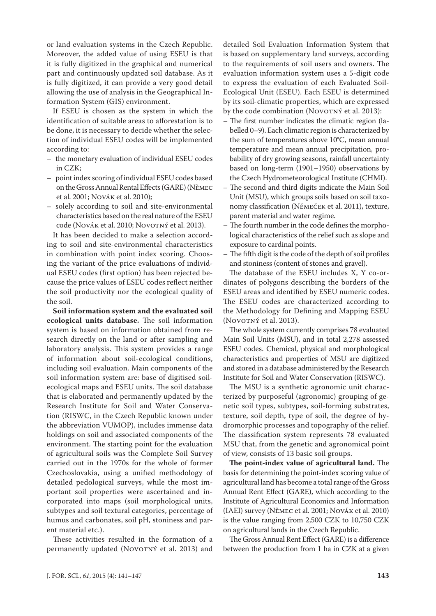or land evaluation systems in the Czech Republic. Moreover, the added value of using ESEU is that it is fully digitized in the graphical and numerical part and continuously updated soil database. As it is fully digitized, it can provide a very good detail allowing the use of analysis in the Geographical Information System (GIS) environment.

If ESEU is chosen as the system in which the identification of suitable areas to afforestation is to be done, it is necessary to decide whether the selection of individual ESEU codes will be implemented according to:

- the monetary evaluation of individual ESEU codes in CZK;
- point index scoring of individual ESEU codes based on the Gross Annual Rental Effects (GARE) (Němec et al. 2001; Novák et al. 2010);
- solely according to soil and site-environmental characteristics based on the real nature of the ESEU code (Novák et al. 2010; Novorný et al. 2013).

It has been decided to make a selection according to soil and site-environmental characteristics in combination with point index scoring. Choosing the variant of the price evaluations of individual ESEU codes (first option) has been rejected because the price values of ESEU codes reflect neither the soil productivity nor the ecological quality of the soil.

**Soil information system and the evaluated soil ecological units database.** The soil information system is based on information obtained from research directly on the land or after sampling and laboratory analysis. This system provides a range of information about soil-ecological conditions, including soil evaluation. Main components of the soil information system are: base of digitised soilecological maps and ESEU units. The soil database that is elaborated and permanently updated by the Research Institute for Soil and Water Conservation (RISWC, in the Czech Republic known under the abbreviation VUMOP), includes immense data holdings on soil and associated components of the environment. The starting point for the evaluation of agricultural soils was the Complete Soil Survey carried out in the 1970s for the whole of former Czechoslovakia, using a unified methodology of detailed pedological surveys, while the most important soil properties were ascertained and incorporated into maps (soil morphological units, subtypes and soil textural categories, percentage of humus and carbonates, soil pH, stoniness and parent material etc.).

These activities resulted in the formation of a permanently updated (NOVOTNÝ et al. 2013) and

detailed Soil Evaluation Information System that is based on supplementary land surveys, according to the requirements of soil users and owners. The evaluation information system uses a 5-digit code to express the evaluation of each Evaluated Soil-Ecological Unit (ESEU). Each ESEU is determined by its soil-climatic properties, which are expressed by the code combination (NovoTNÝ et al. 2013):

- The first number indicates the climatic region (labelled 0–9). Each climatic region is characterized by the sum of temperatures above 10°C, mean annual temperature and mean annual precipitation, probability of dry growing seasons, rainfall uncertainty based on long-term (1901–1950) observations by the Czech Hydrometeorological Institute (CHMI).
- The second and third digits indicate the Main Soil Unit (MSU), which groups soils based on soil taxonomy classification (Němeček et al. 2011), texture, parent material and water regime.
- The fourth number in the code defines the morphological characteristics of the relief such as slope and exposure to cardinal points.
- The fifth digit is the code of the depth of soil profiles and stoniness (content of stones and gravel).

The database of the ESEU includes X, Y co-ordinates of polygons describing the borders of the ESEU areas and identified by ESEU numeric codes. The ESEU codes are characterized according to the Methodology for Defining and Mapping ESEU (NOVOTNÝ et al. 2013).

The whole system currently comprises 78 evaluated Main Soil Units (MSU), and in total 2,278 assessed ESEU codes. Chemical, physical and morphological characteristics and properties of MSU are digitized and stored in a database administered by the Research Institute for Soil and Water Conservation (RISWC).

The MSU is a synthetic agronomic unit characterized by purposeful (agronomic) grouping of genetic soil types, subtypes, soil-forming substrates, texture, soil depth, type of soil, the degree of hydromorphic processes and topography of the relief. The classification system represents 78 evaluated MSU that, from the genetic and agronomical point of view, consists of 13 basic soil groups.

**The point-index value of agricultural land.** The basis for determining the point-index scoring value of agricultural land has become a total range of the Gross Annual Rent Effect (GARE), which according to the Institute of Agricultural Economics and Information (IAEI) survey (Němec et al. 2001; Novák et al. 2010) is the value ranging from 2,500 CZK to 10,750 CZK on agricultural lands in the Czech Republic.

The Gross Annual Rent Effect (GARE) is a difference between the production from 1 ha in CZK at a given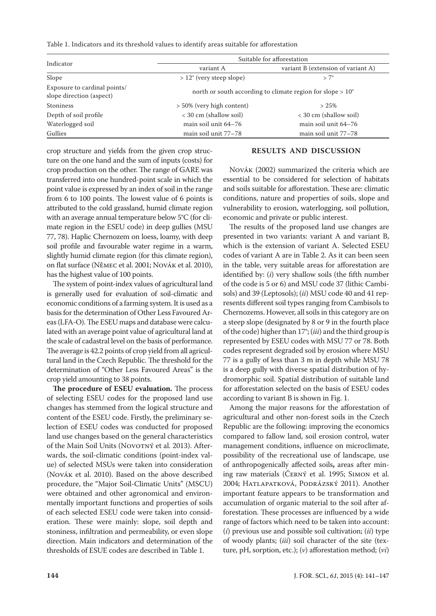Table 1. Indicators and its threshold values to identify areas suitable for afforestation

|                                                          | Suitable for afforestation                                          |                                    |  |
|----------------------------------------------------------|---------------------------------------------------------------------|------------------------------------|--|
| Indicator                                                | variant A                                                           | variant B (extension of variant A) |  |
| Slope                                                    | $>12^{\circ}$ (very steep slope)<br>$>7^\circ$                      |                                    |  |
| Exposure to cardinal points/<br>slope direction (aspect) | north or south according to climate region for slope $> 10^{\circ}$ |                                    |  |
| <b>Stoniness</b>                                         | $> 50\%$ (very high content)                                        | >25%                               |  |
| Depth of soil profile                                    | < 30 cm (shallow soil)                                              | $<$ 30 cm (shallow soil)           |  |
| Waterlogged soil                                         | main soil unit 64–76                                                | main soil unit 64-76               |  |
| Gullies                                                  | main soil unit 77-78                                                | main soil unit 77-78               |  |

crop structure and yields from the given crop structure on the one hand and the sum of inputs (costs) for crop production on the other. The range of GARE was transferred into one hundred-point scale in which the point value is expressed by an index of soil in the range from 6 to 100 points. The lowest value of 6 points is attributed to the cold grassland, humid climate region with an average annual temperature below 5°C (for climate region in the ESEU code) in deep gullies (MSU 77, 78). Haplic Chernozem on loess, loamy, with deep soil profile and favourable water regime in a warm, slightly humid climate region (for this climate region), on flat surface (Němec et al. 2001; Novák et al. 2010), has the highest value of 100 points.

The system of point-index values of agricultural land is generally used for evaluation of soil-climatic and economic conditions of a farming system. It is used as a basis for the determination of Other Less Favoured Areas (LFA-O). The ESEU maps and database were calculated with an average point value of agricultural land at the scale of cadastral level on the basis of performance. The average is 42.2 points of crop yield from all agricultural land in the Czech Republic. The threshold for the determination of "Other Less Favoured Areas" is the crop yield amounting to 38 points.

**The procedure of ESEU evaluation.** The process of selecting ESEU codes for the proposed land use changes has stemmed from the logical structure and content of the ESEU code. Firstly, the preliminary selection of ESEU codes was conducted for proposed land use changes based on the general characteristics of the Main Soil Units (NOVOTNÝ et al. 2013). Afterwards, the soil-climatic conditions (point-index value) of selected MSUs were taken into consideration (Novák et al. 2010). Based on the above described procedure, the "Major Soil-Climatic Units" (MSCU) were obtained and other agronomical and environmentally important functions and properties of soils of each selected ESEU code were taken into consideration. These were mainly: slope, soil depth and stoniness, infiltration and permeability, or even slope direction. Main indicators and determination of the thresholds of ESUE codes are described in Table 1.

## **RESULTS AND DISCUSSION**

Novák (2002) summarized the criteria which are essential to be considered for selection of habitats and soils suitable for afforestation. These are: climatic conditions, nature and properties of soils, slope and vulnerability to erosion, waterlogging, soil pollution, economic and private or public interest.

The results of the proposed land use changes are presented in two variants: variant A and variant B, which is the extension of variant A. Selected ESEU codes of variant A are in Table 2. As it can been seen in the table, very suitable areas for afforestation are identified by: (*i*) very shallow soils (the fifth number of the code is 5 or 6) and MSU code 37 (lithic Cambisols) and 39 (Leptosols); (*ii*) MSU code 40 and 41 represents different soil types ranging from Cambisols to Chernozems. However, all soils in this category are on a steep slope (designated by 8 or 9 in the fourth place of the code) higher than 17°; (*iii*) and the third group is represented by ESEU codes with MSU 77 or 78. Both codes represent degraded soil by erosion where MSU 77 is a gully of less than 3 m in depth while MSU 78 is a deep gully with diverse spatial distribution of hydromorphic soil. Spatial distribution of suitable land for afforestation selected on the basis of ESEU codes according to variant B is shown in Fig. 1.

Among the major reasons for the afforestation of agricultural and other non-forest soils in the Czech Republic are the following: improving the economics compared to fallow land, soil erosion control, water management conditions, influence on microclimate, possibility of the recreational use of landscape, use of anthropogenically affected soils**,** areas after mining raw materials (Černý et al. 1995; Simon et al. 2004; Hatlapatková, Podrázský 2011). Another important feature appears to be transformation and accumulation of organic material to the soil after afforestation. These processes are influenced by a wide range of factors which need to be taken into account: (*i*) previous use and possible soil cultivation; (*ii*) type of woody plants; (*iii*) soil character of the site (texture, pH, sorption, etc.); (*v*) afforestation method; (*vi*)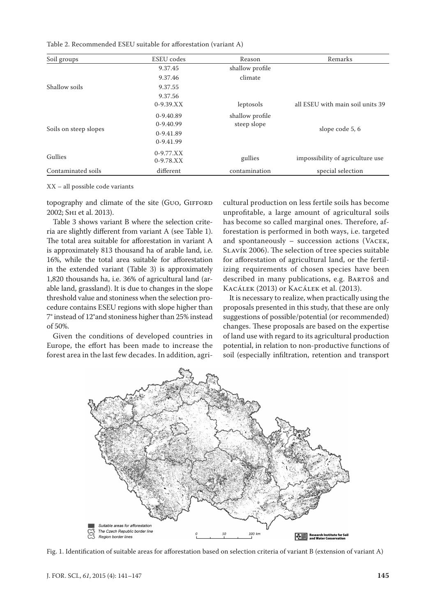| Table 2. Recommended ESEU suitable for afforestation (variant A) |
|------------------------------------------------------------------|
|------------------------------------------------------------------|

| Soil groups           | <b>ESEU</b> codes | Reason          | Remarks                          |
|-----------------------|-------------------|-----------------|----------------------------------|
| Shallow soils         | 9.37.45           | shallow profile |                                  |
|                       | 9.37.46           | climate         |                                  |
|                       | 9.37.55           |                 |                                  |
|                       | 9.37.56           |                 |                                  |
|                       | $0-9.39.XX$       | leptosols       | all ESEU with main soil units 39 |
| Soils on steep slopes | 0-9.40.89         | shallow profile |                                  |
|                       | $0-9.40.99$       | steep slope     | slope code 5, 6                  |
|                       | $0-9.41.89$       |                 |                                  |
|                       | $0-9.41.99$       |                 |                                  |
| Gullies               | $0-9.77.XX$       |                 |                                  |
|                       | $0-9.78.XX$       | gullies         | impossibility of agriculture use |
| Contaminated soils    | different         | contamination   | special selection                |

XX – all possible code variants

topography and climate of the site (Guo, GIFFORD 2002; Shi et al. 2013).

Table 3 shows variant B where the selection criteria are slightly different from variant A (see Table 1). The total area suitable for afforestation in variant A is approximately 813 thousand ha of arable land, i.e. 16%, while the total area suitable for afforestation in the extended variant (Table 3) is approximately 1,820 thousands ha, i.e. 36% of agricultural land (arable land, grassland). It is due to changes in the slope threshold value and stoniness when the selection procedure contains ESEU regions with slope higher than 7° instead of 12°and stoniness higher than 25% instead of 50%.

Given the conditions of developed countries in Europe, the effort has been made to increase the forest area in the last few decades. In addition, agri-

cultural production on less fertile soils has become unprofitable, a large amount of agricultural soils has become so called marginal ones. Therefore, afforestation is performed in both ways, i.e. targeted and spontaneously – succession actions (Vacek, Slavík 2006). The selection of tree species suitable for afforestation of agricultural land, or the fertilizing requirements of chosen species have been described in many publications, e.g. Bartoš and Kacálek (2013) or Kacálek et al. (2013).

It is necessary to realize, when practically using the proposals presented in this study, that these are only suggestions of possible/potential (or recommended) changes. These proposals are based on the expertise of land use with regard to its agricultural production potential, in relation to non-productive functions of soil (especially infiltration, retention and transport



Fig. 1. Identification of suitable areas for afforestation based on selection criteria of variant B (extension of variant A)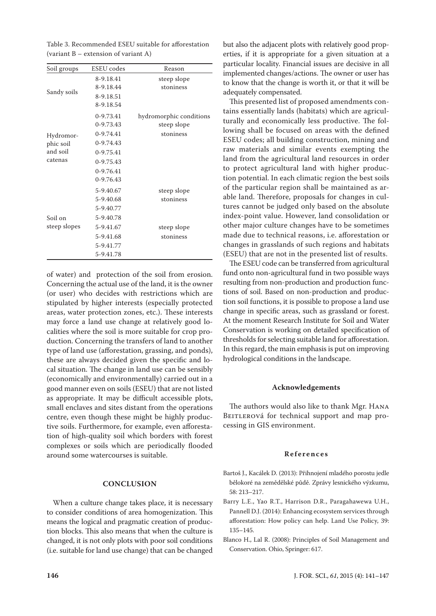| Soil groups                                   | <b>ESEU</b> codes | Reason                  |
|-----------------------------------------------|-------------------|-------------------------|
| Sandy soils                                   | 8-9.18.41         | steep slope             |
|                                               | 8-9.18.44         | stoniness               |
|                                               | 8-9.18.51         |                         |
|                                               | 8-9.18.54         |                         |
| Hydromor-<br>phic soil<br>and soil<br>catenas | $0-9.73.41$       | hydromorphic conditions |
|                                               | $0-9.73.43$       | steep slope             |
|                                               | $0-9.74.41$       | stoniness               |
|                                               | 0-9.74.43         |                         |
|                                               | $0-9.75.41$       |                         |
|                                               | $0-9.75.43$       |                         |
|                                               | $0-9.76.41$       |                         |
|                                               | 0-9.76.43         |                         |
| Soil on<br>steep slopes                       | 5-9.40.67         | steep slope             |
|                                               | 5-9.40.68         | stoniness               |
|                                               | 5-9.40.77         |                         |
|                                               | 5-9.40.78         |                         |
|                                               | 5-9.41.67         | steep slope             |
|                                               | 5-9.41.68         | stoniness               |
|                                               | 5-9.41.77         |                         |
|                                               | 5-9.41.78         |                         |

Table 3. Recommended ESEU suitable for afforestation (variant B – extension of variant A)

of water) and protection of the soil from erosion. Concerning the actual use of the land, it is the owner (or user) who decides with restrictions which are stipulated by higher interests (especially protected areas, water protection zones, etc.). These interests may force a land use change at relatively good localities where the soil is more suitable for crop production. Concerning the transfers of land to another type of land use (afforestation, grassing, and ponds), these are always decided given the specific and local situation. The change in land use can be sensibly (economically and environmentally) carried out in a good manner even on soils (ESEU) that are not listed as appropriate. It may be difficult accessible plots, small enclaves and sites distant from the operations centre, even though these might be highly productive soils. Furthermore, for example, even afforestation of high-quality soil which borders with forest complexes or soils which are periodically flooded around some watercourses is suitable.

### **CONCLUSION**

When a culture change takes place, it is necessary to consider conditions of area homogenization. This means the logical and pragmatic creation of production blocks. This also means that when the culture is changed, it is not only plots with poor soil conditions (i.e. suitable for land use change) that can be changed but also the adjacent plots with relatively good properties, if it is appropriate for a given situation at a particular locality. Financial issues are decisive in all implemented changes/actions. The owner or user has to know that the change is worth it, or that it will be adequately compensated.

This presented list of proposed amendments contains essentially lands (habitats) which are agriculturally and economically less productive. The following shall be focused on areas with the defined ESEU codes; all building construction, mining and raw materials and similar events exempting the land from the agricultural land resources in order to protect agricultural land with higher production potential. In each climatic region the best soils of the particular region shall be maintained as arable land. Therefore, proposals for changes in cultures cannot be judged only based on the absolute index-point value. However, land consolidation or other major culture changes have to be sometimes made due to technical reasons, i.e. afforestation or changes in grasslands of such regions and habitats (ESEU) that are not in the presented list of results.

The ESEU code can be transferred from agricultural fund onto non-agricultural fund in two possible ways resulting from non-production and production functions of soil. Based on non-production and production soil functions, it is possible to propose a land use change in specific areas, such as grassland or forest. At the moment Research Institute for Soil and Water Conservation is working on detailed specification of thresholds for selecting suitable land for afforestation. In this regard, the main emphasis is put on improving hydrological conditions in the landscape.

#### **Acknowledgements**

The authors would also like to thank Mgr. Hana BEITLEROVá for technical support and map processing in GIS environment.

#### **References**

- Bartoš J., Kacálek D. (2013): Přihnojení mladého porostu jedle bělokoré na zemědělské půdě. Zprávy lesnického výzkumu, 58: 213–217.
- Barry L.E., Yao R.T., Harrison D.R., Paragahawewa U.H., Pannell D.J. (2014): Enhancing ecosystem services through afforestation: How policy can help. Land Use Policy, 39: 135–145.
- Blanco H., Lal R. (2008): Principles of Soil Management and Conservation. Ohio, Springer: 617.